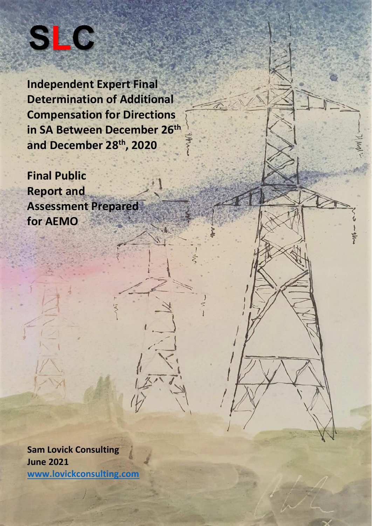

**Independent Expert Final Determination of Additional Compensation for Directions in SA Between December 26 th and December 28th, 2020**

**Final Public Report and Assessment Prepared for AEMO**

**Sam Lovick Consulting June 2021 [www.lovickconsulting.com](http://www.lovickconsulting.com/)**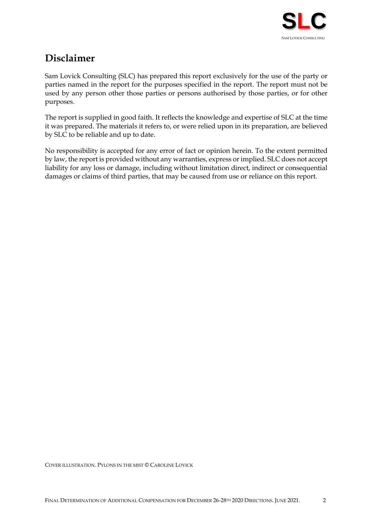

# **Disclaimer**

Sam Lovick Consulting (SLC) has prepared this report exclusively for the use of the party or parties named in the report for the purposes specified in the report. The report must not be used by any person other those parties or persons authorised by those parties, or for other purposes.

The report is supplied in good faith. It reflects the knowledge and expertise of SLC at the time it was prepared. The materials it refers to, or were relied upon in its preparation, are believed by SLC to be reliable and up to date.

No responsibility is accepted for any error of fact or opinion herein. To the extent permitted by law, the report is provided without any warranties, express or implied. SLC does not accept liability for any loss or damage, including without limitation direct, indirect or consequential damages or claims of third parties, that may be caused from use or reliance on this report.

COVER ILLUSTRATION. PYLONS IN THE MIST © CAROLINE LOVICK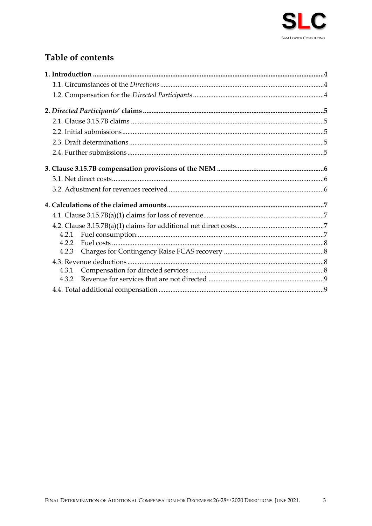

# **Table of contents**

| 4.2.3 |  |
|-------|--|
|       |  |
| 4.3.1 |  |
|       |  |
|       |  |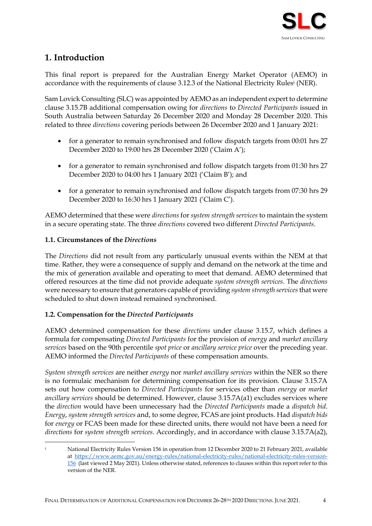

# <span id="page-3-0"></span>**1. Introduction**

This final report is prepared for the Australian Energy Market Operator (AEMO) in accordance with the requirements of clause 3.12.3 of the National Electricity Rules<sup>i</sup> (NER).

Sam Lovick Consulting (SLC) was appointed by AEMO as an independent expert to determine clause 3.15.7B additional compensation owing for *directions* to *Directed Participants* issued in South Australia between Saturday 26 December 2020 and Monday 28 December 2020. This related to three *directions* covering periods between 26 December 2020 and 1 January 2021:

- for a generator to remain synchronised and follow dispatch targets from 00:01 hrs 27 December 2020 to 19:00 hrs 28 December 2020 ('Claim A');
- for a generator to remain synchronised and follow dispatch targets from 01:30 hrs 27 December 2020 to 04:00 hrs 1 January 2021 ('Claim B'); and
- for a generator to remain synchronised and follow dispatch targets from 07:30 hrs 29 December 2020 to 16:30 hrs 1 January 2021 ('Claim C').

AEMO determined that these were *directions* for *system strength services* to maintain the system in a secure operating state. The three *directions* covered two different *Directed Participants*.

## <span id="page-3-1"></span>**1.1. Circumstances of the** *Directions*

The *Directions* did not result from any particularly unusual events within the NEM at that time. Rather, they were a consequence of supply and demand on the network at the time and the mix of generation available and operating to meet that demand. AEMO determined that offered resources at the time did not provide adequate *system strength services*. The *directions* were necessary to ensure that generators capable of providing *system strength services* that were scheduled to shut down instead remained synchronised.

## <span id="page-3-2"></span>**1.2. Compensation for the** *Directed Participants*

AEMO determined compensation for these *directions* under clause 3.15.7, which defines a formula for compensating *Directed Participants* for the provision of *energy* and *market ancillary services* based on the 90th percentile *spot price* or *ancillary service price* over the preceding year. AEMO informed the *Directed Participants* of these compensation amounts.

*System strength services* are neither *energy* nor *market ancillary services* within the NER so there is no formulaic mechanism for determining compensation for its provision. Clause 3.15.7A sets out how compensation to *Directed Participants* for services other than *energy* or *market ancillary services* should be determined. However, clause 3.15.7A(a1) excludes services where the *direction* would have been unnecessary had the *Directed Participants* made a *dispatch bid*. *Energy*, *system strength services* and, to some degree, FCAS are joint products. Had *dispatch bids* for *energy* or FCAS been made for these directed units, there would not have been a need for *directions* for *system strength services*. Accordingly, and in accordance with clause 3.15.7A(a2),

National Electricity Rules Version 156 in operation from 12 December 2020 to 21 February 2021, available at [https://www.aemc.gov.au/energy-rules/national-electricity-rules/national-electricity-rules-version-](https://www.aemc.gov.au/energy-rules/national-electricity-rules/national-electricity-rules-version-156)[156](https://www.aemc.gov.au/energy-rules/national-electricity-rules/national-electricity-rules-version-156) (last viewed 2 May 2021). Unless otherwise stated, references to clauses within this report refer to this version of the NER.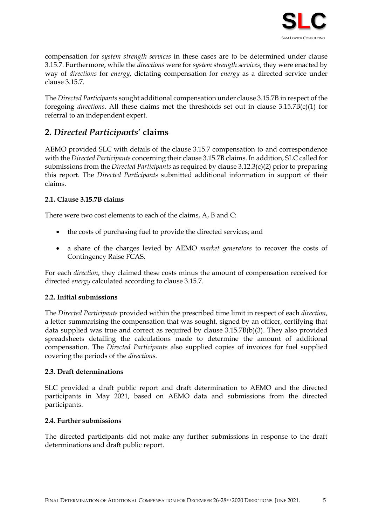

compensation for *system strength services* in these cases are to be determined under clause 3.15.7. Furthermore, while the *directions* were for *system strength services*, they were enacted by way of *directions* for *energy*, dictating compensation for *energy* as a directed service under clause 3.15.7.

The *Directed Participants* sought additional compensation under clause 3.15.7B in respect of the foregoing *directions*. All these claims met the thresholds set out in clause 3.15.7B(c)(1) for referral to an independent expert.

# <span id="page-4-0"></span>**2.** *Directed Participants***' claims**

AEMO provided SLC with details of the clause 3.15.7 compensation to and correspondence with the *Directed Participants* concerning their clause 3.15.7B claims. In addition, SLC called for submissions from the *Directed Participants* as required by clause 3.12.3(c)(2) prior to preparing this report. The *Directed Participants* submitted additional information in support of their claims.

#### <span id="page-4-1"></span>**2.1. Clause 3.15.7B claims**

There were two cost elements to each of the claims, A, B and C:

- the costs of purchasing fuel to provide the directed services; and
- a share of the charges levied by AEMO *market generators* to recover the costs of Contingency Raise FCAS.

For each *direction*, they claimed these costs minus the amount of compensation received for directed *energy* calculated according to clause 3.15.7.

## <span id="page-4-2"></span>**2.2. Initial submissions**

The *Directed Participants* provided within the prescribed time limit in respect of each *direction*, a letter summarising the compensation that was sought, signed by an officer, certifying that data supplied was true and correct as required by clause 3.15.7B(b)(3). They also provided spreadsheets detailing the calculations made to determine the amount of additional compensation. The *Directed Participants* also supplied copies of invoices for fuel supplied covering the periods of the *directions.*

#### <span id="page-4-3"></span>**2.3. Draft determinations**

SLC provided a draft public report and draft determination to AEMO and the directed participants in May 2021, based on AEMO data and submissions from the directed participants.

#### <span id="page-4-4"></span>**2.4. Further submissions**

The directed participants did not make any further submissions in response to the draft determinations and draft public report.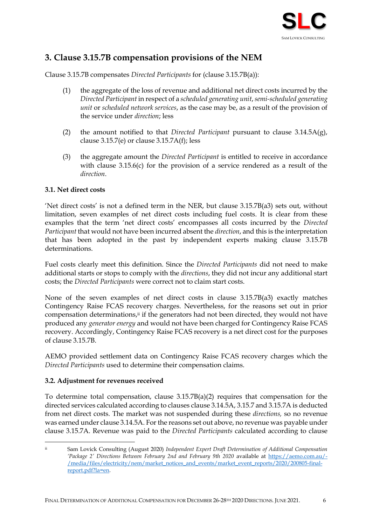

# <span id="page-5-0"></span>**3. Clause 3.15.7B compensation provisions of the NEM**

Clause 3.15.7B compensates *Directed Participants* for (clause 3.15.7B(a)):

- (1) the aggregate of the loss of revenue and additional net direct costs incurred by the *Directed Participant* in respect of a *scheduled generating unit*, *semi-scheduled generating unit* or *scheduled network services*, as the case may be, as a result of the provision of the service under *direction*; less
- (2) the amount notified to that *Directed Participant* pursuant to clause 3.14.5A(g), clause  $3.15.7$ (e) or clause  $3.15.7$ A(f); less
- (3) the aggregate amount the *Directed Participant* is entitled to receive in accordance with clause 3.15.6(c) for the provision of a service rendered as a result of the *direction*.

#### <span id="page-5-1"></span>**3.1. Net direct costs**

'Net direct costs' is not a defined term in the NER, but clause 3.15.7B(a3) sets out, without limitation, seven examples of net direct costs including fuel costs. It is clear from these examples that the term 'net direct costs' encompasses all costs incurred by the *Directed Participant* that would not have been incurred absent the *direction*, and this is the interpretation that has been adopted in the past by independent experts making clause 3.15.7B determinations.

Fuel costs clearly meet this definition. Since the *Directed Participants* did not need to make additional starts or stops to comply with the *directions*, they did not incur any additional start costs; the *Directed Participants* were correct not to claim start costs.

None of the seven examples of net direct costs in clause 3.15.7B(a3) exactly matches Contingency Raise FCAS recovery charges. Nevertheless, for the reasons set out in prior compensation determinations,<sup>ii</sup> if the generators had not been directed, they would not have produced any *generator energy* and would not have been charged for Contingency Raise FCAS recovery. Accordingly, Contingency Raise FCAS recovery is a net direct cost for the purposes of clause 3.15.7B.

AEMO provided settlement data on Contingency Raise FCAS recovery charges which the *Directed Participants* used to determine their compensation claims.

#### <span id="page-5-2"></span>**3.2. Adjustment for revenues received**

To determine total compensation, clause 3.15.7B(a)(2) requires that compensation for the directed services calculated according to clauses clause 3.14.5A, 3.15.7 and 3.15.7A is deducted from net direct costs. The market was not suspended during these *directions,* so no revenue was earned under clause 3.14.5A. For the reasons set out above, no revenue was payable under clause 3.15.7A. Revenue was paid to the *Directed Participants* calculated according to clause

ii Sam Lovick Consulting (August 2020) *Independent Expert Draft Determination of Additional Compensation 'Package 2' Directions Between February 2nd and February 9th 2020* available at [https://aemo.com.au/-](https://aemo.com.au/-/media/files/electricity/nem/market_notices_and_events/market_event_reports/2020/200805-final-report.pdf?la=en) [/media/files/electricity/nem/market\\_notices\\_and\\_events/market\\_event\\_reports/2020/200805-final](https://aemo.com.au/-/media/files/electricity/nem/market_notices_and_events/market_event_reports/2020/200805-final-report.pdf?la=en)[report.pdf?la=en.](https://aemo.com.au/-/media/files/electricity/nem/market_notices_and_events/market_event_reports/2020/200805-final-report.pdf?la=en)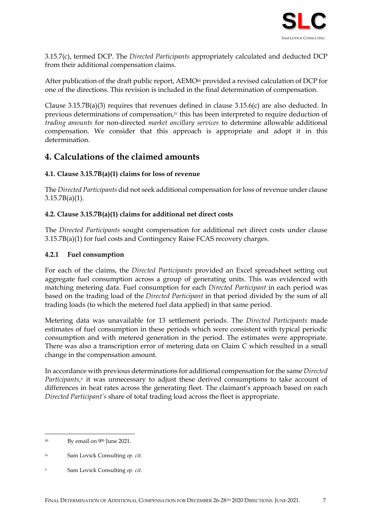

3.15.7(c), termed DCP. The *Directed Participants* appropriately calculated and deducted DCP from their additional compensation claims.

After publication of the draft public report, AEMO<sup>iii</sup> provided a revised calculation of DCP for one of the directions. This revision is included in the final determination of compensation.

Clause 3.15.7B(a)(3) requires that revenues defined in clause 3.15.6(c) are also deducted. In previous determinations of compensation,iv this has been interpreted to require deduction of *trading amounts* for non-directed *market ancillary services* to determine allowable additional compensation. We consider that this approach is appropriate and adopt it in this determination.

# <span id="page-6-0"></span>**4. Calculations of the claimed amounts**

# <span id="page-6-1"></span>**4.1. Clause 3.15.7B(a)(1) claims for loss of revenue**

The *Directed Participants* did not seek additional compensation for loss of revenue under clause 3.15.7B(a)(1).

# <span id="page-6-2"></span>**4.2. Clause 3.15.7B(a)(1) claims for additional net direct costs**

The *Directed Participants* sought compensation for additional net direct costs under clause 3.15.7B(a)(1) for fuel costs and Contingency Raise FCAS recovery charges.

## <span id="page-6-3"></span>**4.2.1 Fuel consumption**

For each of the claims, the *Directed Participants* provided an Excel spreadsheet setting out aggregate fuel consumption across a group of generating units. This was evidenced with matching metering data. Fuel consumption for each *Directed Participant* in each period was based on the trading load of the *Directed Participant* in that period divided by the sum of all trading loads (to which the metered fuel data applied) in that same period.

Metering data was unavailable for 13 settlement periods. The *Directed Participants* made estimates of fuel consumption in these periods which were consistent with typical periodic consumption and with metered generation in the period. The estimates were appropriate. There was also a transcription error of metering data on Claim C which resulted in a small change in the compensation amount.

In accordance with previous determinations for additional compensation for the same *Directed*  Participants,<sup>v</sup> it was unnecessary to adjust these derived consumptions to take account of differences in heat rates across the generating fleet. The claimant's approach based on each *Directed Participant's* share of total trading load across the fleet is appropriate.

iii By email on 9th June 2021.

iv Sam Lovick Consulting *op. cit.*

Sam Lovick Consulting op. cit.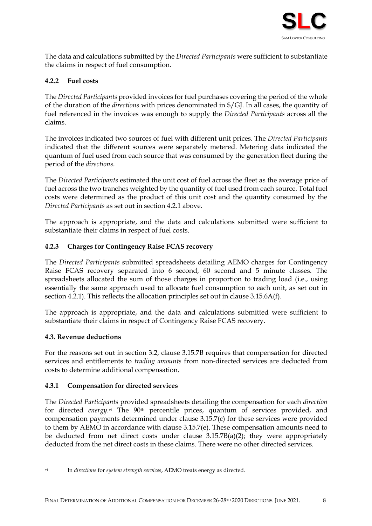

The data and calculations submitted by the *Directed Participants* were sufficient to substantiate the claims in respect of fuel consumption.

# <span id="page-7-0"></span>**4.2.2 Fuel costs**

The *Directed Participants* provided invoices for fuel purchases covering the period of the whole of the duration of the *directions* with prices denominated in \$/GJ. In all cases, the quantity of fuel referenced in the invoices was enough to supply the *Directed Participants* across all the claims.

The invoices indicated two sources of fuel with different unit prices. The *Directed Participants*  indicated that the different sources were separately metered. Metering data indicated the quantum of fuel used from each source that was consumed by the generation fleet during the period of the *directions*.

The *Directed Participants* estimated the unit cost of fuel across the fleet as the average price of fuel across the two tranches weighted by the quantity of fuel used from each source. Total fuel costs were determined as the product of this unit cost and the quantity consumed by the *Directed Participants* as set out in section [4.2.1](#page-6-3) above.

The approach is appropriate, and the data and calculations submitted were sufficient to substantiate their claims in respect of fuel costs.

## <span id="page-7-1"></span>**4.2.3 Charges for Contingency Raise FCAS recovery**

The *Directed Participants* submitted spreadsheets detailing AEMO charges for Contingency Raise FCAS recovery separated into 6 second, 60 second and 5 minute classes. The spreadsheets allocated the sum of those charges in proportion to trading load (i.e., using essentially the same approach used to allocate fuel consumption to each unit, as set out in section [4.2.1\)](#page-6-3). This reflects the allocation principles set out in clause 3.15.6A(f).

The approach is appropriate, and the data and calculations submitted were sufficient to substantiate their claims in respect of Contingency Raise FCAS recovery.

#### <span id="page-7-2"></span>**4.3. Revenue deductions**

For the reasons set out in section [3.2,](#page-5-2) clause 3.15.7B requires that compensation for directed services and entitlements to *trading amounts* from non-directed services are deducted from costs to determine additional compensation.

## <span id="page-7-3"></span>**4.3.1 Compensation for directed services**

The *Directed Participants* provided spreadsheets detailing the compensation for each *direction* for directed *energy*.<sup>vi</sup> The 90<sup>th</sup> percentile prices, quantum of services provided, and compensation payments determined under clause 3.15.7(c) for these services were provided to them by AEMO in accordance with clause 3.15.7(e). These compensation amounts need to be deducted from net direct costs under clause 3.15.7B(a)(2); they were appropriately deducted from the net direct costs in these claims. There were no other directed services.

vi In *directions* for *system strength services*, AEMO treats energy as directed.